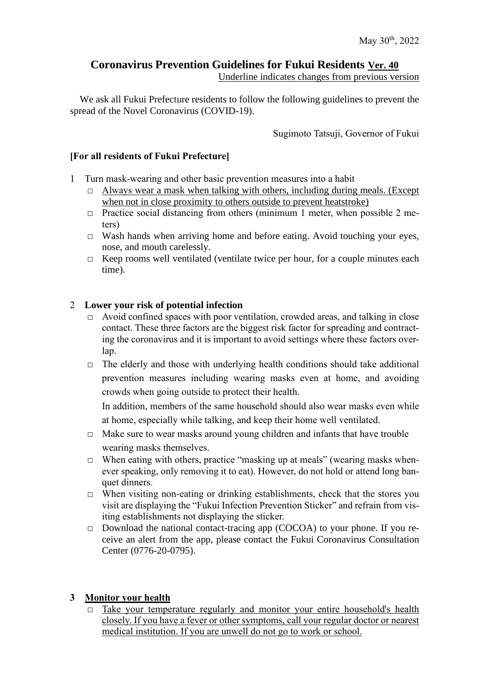# **Coronavirus Prevention Guidelines for Fukui Residents Ver. 40**

Underline indicates changes from previous version

We ask all Fukui Prefecture residents to follow the following guidelines to prevent the spread of the Novel Coronavirus (COVID-19).

Sugimoto Tatsuji, Governor of Fukui

### **[For all residents of Fukui Prefecture]**

- 1 Turn mask-wearing and other basic prevention measures into a habit
	- $\Box$  Always wear a mask when talking with others, including during meals. (Except when not in close proximity to others outside to prevent heatstroke)
	- $\Box$  Practice social distancing from others (minimum 1 meter, when possible 2 meters)
	- □ Wash hands when arriving home and before eating. Avoid touching your eyes, nose, and mouth carelessly.
	- □ Keep rooms well ventilated (ventilate twice per hour, for a couple minutes each time).

## 2 **Lower your risk of potential infection**

- □ Avoid confined spaces with poor ventilation, crowded areas, and talking in close contact. These three factors are the biggest risk factor for spreading and contracting the coronavirus and it is important to avoid settings where these factors overlap.
- $\Box$  The elderly and those with underlying health conditions should take additional prevention measures including wearing masks even at home, and avoiding crowds when going outside to protect their health.

In addition, members of the same household should also wear masks even while at home, especially while talking, and keep their home well ventilated.

- $\Box$  Make sure to wear masks around young children and infants that have trouble wearing masks themselves.
- $\Box$  When eating with others, practice "masking up at meals" (wearing masks whenever speaking, only removing it to eat). However, do not hold or attend long banquet dinners.
- □ When visiting non-eating or drinking establishments, check that the stores you visit are displaying the "Fukui Infection Prevention Sticker" and refrain from visiting establishments not displaying the sticker.
- □ Download the national contact-tracing app (COCOA) to your phone. If you receive an alert from the app, please contact the Fukui Coronavirus Consultation Center (0776-20-0795).

## **3 Monitor your health**

 $\Box$  Take your temperature regularly and monitor your entire household's health closely. If you have a fever or other symptoms, call your regular doctor or nearest medical institution. If you are unwell do not go to work or school.